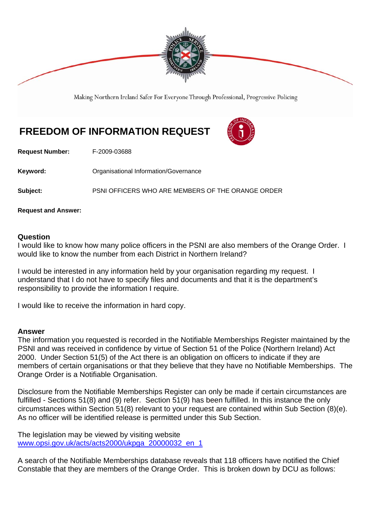

Making Northern Ireland Safer For Everyone Through Professional, Progressive Policing

## **FREEDOM OF INFORMATION REQUEST**



**Request Number:** F-2009-03688

**Keyword: C**rganisational Information/Governance

**Subject:** PSNI OFFICERS WHO ARE MEMBERS OF THE ORANGE ORDER

**Request and Answer:** 

## **Question**

I would like to know how many police officers in the PSNI are also members of the Orange Order. I would like to know the number from each District in Northern Ireland?

I would be interested in any information held by your organisation regarding my request. I understand that I do not have to specify files and documents and that it is the department's responsibility to provide the information I require.

I would like to receive the information in hard copy.

## **Answer**

The information you requested is recorded in the Notifiable Memberships Register maintained by the PSNI and was received in confidence by virtue of Section 51 of the Police (Northern Ireland) Act 2000. Under Section 51(5) of the Act there is an obligation on officers to indicate if they are members of certain organisations or that they believe that they have no Notifiable Memberships. The Orange Order is a Notifiable Organisation.

Disclosure from the Notifiable Memberships Register can only be made if certain circumstances are fulfilled - Sections 51(8) and (9) refer. Section 51(9) has been fulfilled. In this instance the only circumstances within Section 51(8) relevant to your request are contained within Sub Section (8)(e). As no officer will be identified release is permitted under this Sub Section.

The legislation may be viewed by visiting website www.opsi.gov.uk/acts/acts2000/ukpga\_20000032\_en\_1

A search of the Notifiable Memberships database reveals that 118 officers have notified the Chief Constable that they are members of the Orange Order. This is broken down by DCU as follows: